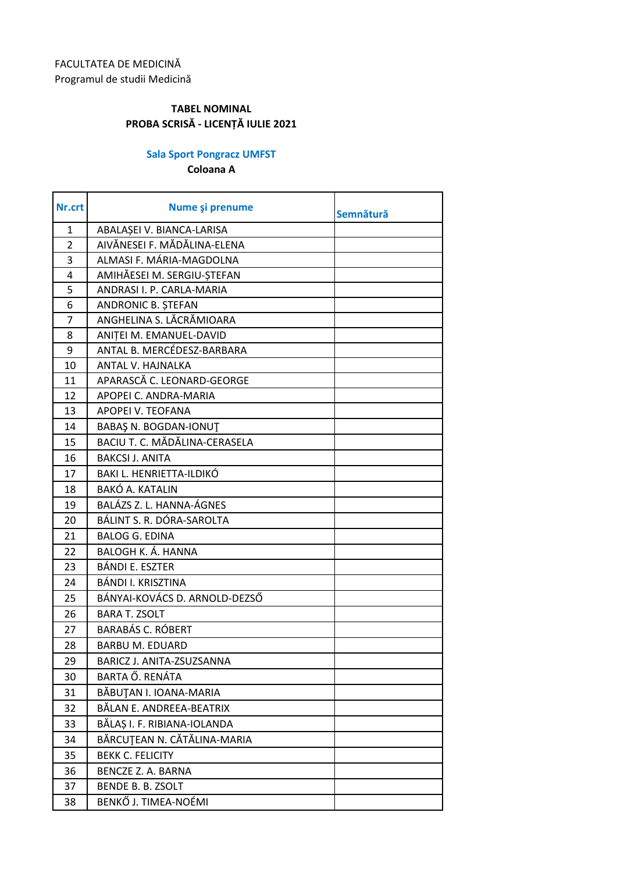## **Sala Sport Pongracz UMFST**

**Coloana A**

| Nr.crt         | Nume și prenume               | Semnătură |
|----------------|-------------------------------|-----------|
| $\mathbf{1}$   | ABALAŞEI V. BIANCA-LARISA     |           |
| $\overline{2}$ | AIVĂNESEI F. MĂDĂLINA-ELENA   |           |
| 3              | ALMASI F. MÁRIA-MAGDOLNA      |           |
| 4              | AMIHĂESEI M. SERGIU-ȘTEFAN    |           |
| 5              | ANDRASI I. P. CARLA-MARIA     |           |
| 6              | ANDRONIC B. ȘTEFAN            |           |
| $\overline{7}$ | ANGHELINA S. LĂCRĂMIOARA      |           |
| 8              | ANITEI M. EMANUEL-DAVID       |           |
| 9              | ANTAL B. MERCÉDESZ-BARBARA    |           |
| 10             | ANTAL V. HAJNALKA             |           |
| 11             | APARASCĂ C. LEONARD-GEORGE    |           |
| 12             | APOPEI C. ANDRA-MARIA         |           |
| 13             | APOPEI V. TEOFANA             |           |
| 14             | BABAŞ N. BOGDAN-IONUT         |           |
| 15             | BACIU T. C. MĂDĂLINA-CERASELA |           |
| 16             | <b>BAKCSI J. ANITA</b>        |           |
| 17             | BAKI L. HENRIETTA-ILDIKÓ      |           |
| 18             | <b>BAKÓ A. KATALIN</b>        |           |
| 19             | BALÁZS Z. L. HANNA-ÁGNES      |           |
| 20             | BÁLINT S. R. DÓRA-SAROLTA     |           |
| 21             | <b>BALOG G. EDINA</b>         |           |
| 22             | <b>BALOGH K. Á. HANNA</b>     |           |
| 23             | BÁNDI E. ESZTER               |           |
| 24             | BÁNDI I. KRISZTINA            |           |
| 25             | BÁNYAI-KOVÁCS D. ARNOLD-DEZSŐ |           |
| 26             | <b>BARA T. ZSOLT</b>          |           |
| 27             | <b>BARABÁS C. RÓBERT</b>      |           |
| 28             | <b>BARBU M. EDUARD</b>        |           |
| 29             | BARICZ J. ANITA-ZSUZSANNA     |           |
| 30             | BARTA Ő. RENÁTA               |           |
| 31             | BĂBUȚAN I. IOANA-MARIA        |           |
| 32             | BĂLAN E. ANDREEA-BEATRIX      |           |
| 33             | BĂLAȘ I. F. RIBIANA-IOLANDA   |           |
| 34             | BĂRCUȚEAN N. CĂTĂLINA-MARIA   |           |
| 35             | <b>BEKK C. FELICITY</b>       |           |
| 36             | <b>BENCZE Z. A. BARNA</b>     |           |
| 37             | <b>BENDE B. B. ZSOLT</b>      |           |
| 38             | BENKŐ J. TIMEA-NOÉMI          |           |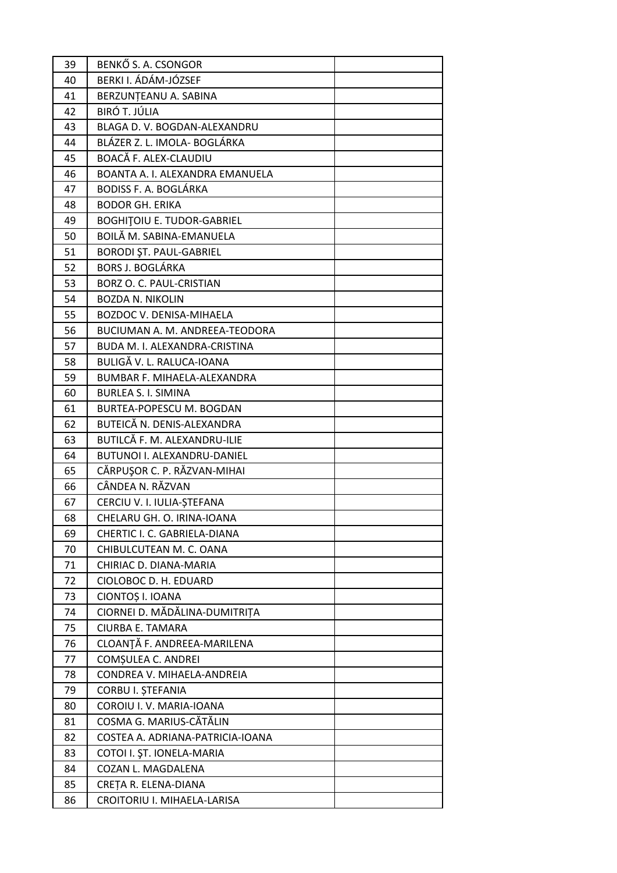| 39 | BENKŐ S. A. CSONGOR               |
|----|-----------------------------------|
| 40 | BERKI I. ÁDÁM-JÓZSEF              |
| 41 | BERZUNTEANU A. SABINA             |
| 42 | <b>BIRÓ T. JÚLIA</b>              |
| 43 | BLAGA D. V. BOGDAN-ALEXANDRU      |
| 44 | BLÁZER Z. L. IMOLA- BOGLÁRKA      |
| 45 | BOACĂ F. ALEX-CLAUDIU             |
| 46 | BOANTA A. I. ALEXANDRA EMANUELA   |
| 47 | <b>BODISS F. A. BOGLÁRKA</b>      |
| 48 | <b>BODOR GH. ERIKA</b>            |
| 49 | <b>BOGHITOIU E. TUDOR-GABRIEL</b> |
| 50 | BOILĂ M. SABINA-EMANUELA          |
| 51 | <b>BORODI ȘT. PAUL-GABRIEL</b>    |
| 52 | <b>BORS J. BOGLÁRKA</b>           |
| 53 | BORZ O. C. PAUL-CRISTIAN          |
| 54 | <b>BOZDA N. NIKOLIN</b>           |
| 55 | <b>BOZDOC V. DENISA-MIHAELA</b>   |
| 56 | BUCIUMAN A. M. ANDREEA-TEODORA    |
| 57 | BUDA M. I. ALEXANDRA-CRISTINA     |
| 58 | BULIGĂ V. L. RALUCA-IOANA         |
| 59 | BUMBAR F. MIHAELA-ALEXANDRA       |
| 60 | <b>BURLEA S. I. SIMINA</b>        |
| 61 | <b>BURTEA-POPESCU M. BOGDAN</b>   |
| 62 | BUTEICĂ N. DENIS-ALEXANDRA        |
| 63 | BUTILCĂ F. M. ALEXANDRU-ILIE      |
| 64 | BUTUNOI I. ALEXANDRU-DANIEL       |
| 65 | CĂRPUȘOR C. P. RĂZVAN-MIHAI       |
| 66 | CÂNDEA N. RĂZVAN                  |
| 67 | CERCIU V. I. IULIA-ȘTEFANA        |
| 68 | CHELARU GH. O. IRINA-IOANA        |
| 69 | CHERTIC I. C. GABRIELA-DIANA      |
| 70 | CHIBULCUTEAN M. C. OANA           |
| 71 | CHIRIAC D. DIANA-MARIA            |
| 72 | CIOLOBOC D. H. EDUARD             |
| 73 | CIONTOȘ I. IOANA                  |
| 74 | CIORNEI D. MĂDĂLINA-DUMITRIȚA     |
| 75 | CIURBA E. TAMARA                  |
| 76 | CLOANȚĂ F. ANDREEA-MARILENA       |
| 77 | COMȘULEA C. ANDREI                |
| 78 | CONDREA V. MIHAELA-ANDREIA        |
| 79 | CORBU I. ȘTEFANIA                 |
| 80 | COROIU I.V. MARIA-IOANA           |
| 81 | COSMA G. MARIUS-CĂTĂLIN           |
| 82 | COSTEA A. ADRIANA-PATRICIA-IOANA  |
| 83 | COTOI I. ȘT. IONELA-MARIA         |
| 84 | COZAN L. MAGDALENA                |
| 85 | CREȚA R. ELENA-DIANA              |
| 86 | CROITORIU I. MIHAELA-LARISA       |
|    |                                   |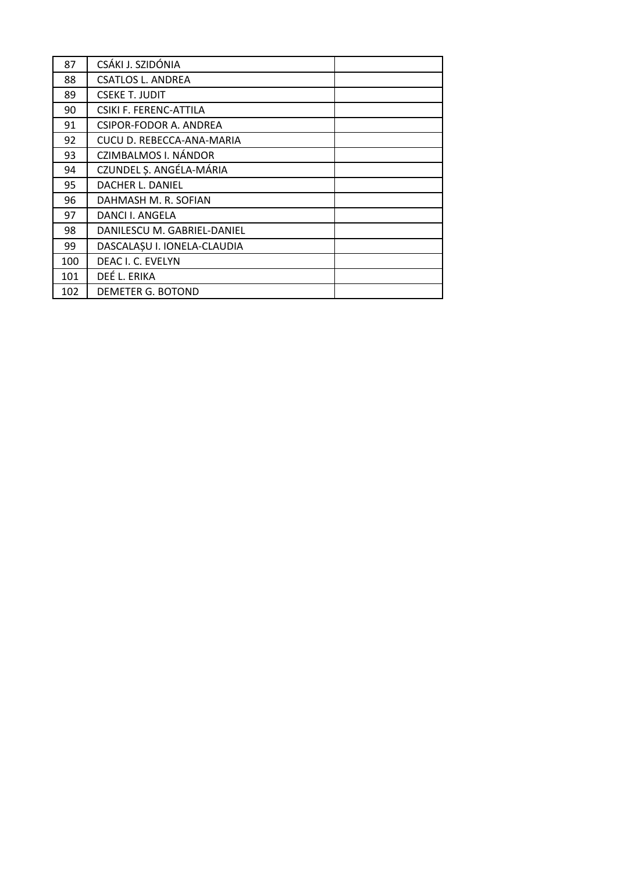| 87  | CSÁKI J. SZIDÓNIA             |
|-----|-------------------------------|
| 88  | CSATLOS L. ANDREA             |
| 89  | <b>CSEKE T. JUDIT</b>         |
| 90  | CSIKI F. FERENC-ATTILA        |
| 91  | <b>CSIPOR-FODOR A. ANDREA</b> |
| 92  | CUCU D. REBECCA-ANA-MARIA     |
| 93  | CZIMBALMOS I. NÁNDOR          |
| 94  | CZUNDEL Ș. ANGÉLA-MÁRIA       |
| 95  | DACHER L. DANIEL              |
| 96  | DAHMASH M. R. SOFIAN          |
| 97  | DANCI I. ANGELA               |
| 98  | DANILESCU M. GABRIEL-DANIEL   |
| 99  | DASCALAȘU I. IONELA-CLAUDIA   |
| 100 | DEAC I. C. EVELYN             |
| 101 | DEÉ L. ERIKA                  |
| 102 | DEMETER G. BOTOND             |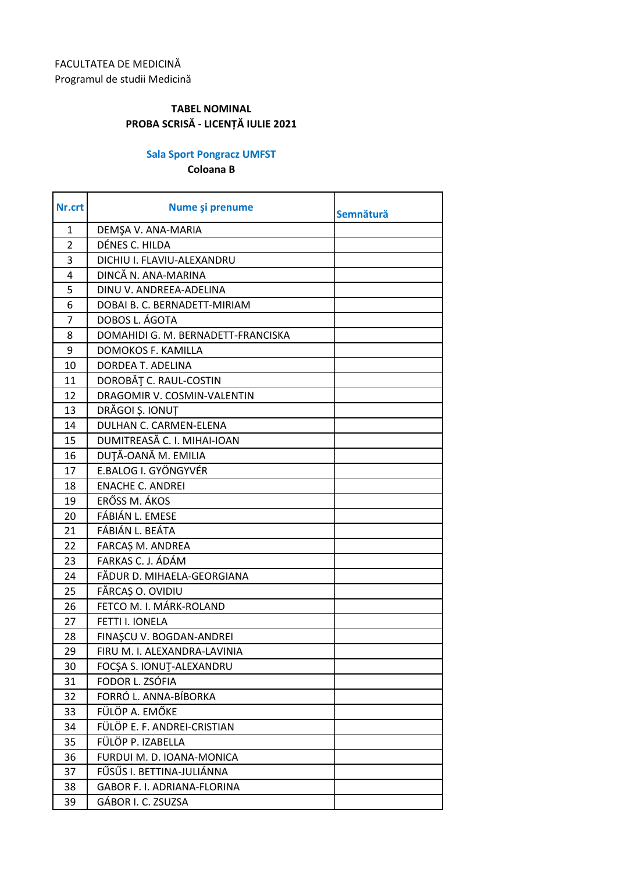## **Sala Sport Pongracz UMFST**

**Coloana B**

| Nr.crt         | Nume și prenume                    | Semnătură |
|----------------|------------------------------------|-----------|
| $\mathbf{1}$   | DEMŞA V. ANA-MARIA                 |           |
| $\overline{2}$ | DÉNES C. HILDA                     |           |
| 3              | DICHIU I. FLAVIU-ALEXANDRU         |           |
| 4              | DINCĂ N. ANA-MARINA                |           |
| 5              | DINU V. ANDREEA-ADELINA            |           |
| 6              | DOBAI B. C. BERNADETT-MIRIAM       |           |
| $\overline{7}$ | DOBOS L. ÁGOTA                     |           |
| 8              | DOMAHIDI G. M. BERNADETT-FRANCISKA |           |
| 9              | DOMOKOS F. KAMILLA                 |           |
| 10             | DORDEA T. ADELINA                  |           |
| 11             | DOROBĂȚ C. RAUL-COSTIN             |           |
| 12             | DRAGOMIR V. COSMIN-VALENTIN        |           |
| 13             | DRĂGOI Ș. IONUȚ                    |           |
| 14             | <b>DULHAN C. CARMEN-ELENA</b>      |           |
| 15             | DUMITREASĂ C. I. MIHAI-IOAN        |           |
| 16             | DUȚĂ-OANĂ M. EMILIA                |           |
| 17             | E.BALOG I. GYÖNGYVÉR               |           |
| 18             | <b>ENACHE C. ANDREI</b>            |           |
| 19             | ERŐSS M. ÁKOS                      |           |
| 20             | FÁBIÁN L. EMESE                    |           |
| 21             | FÁBIÁN L. BEÁTA                    |           |
| 22             | FARCAȘ M. ANDREA                   |           |
| 23             | FARKAS C. J. ÁDÁM                  |           |
| 24             | FĂDUR D. MIHAELA-GEORGIANA         |           |
| 25             | FĂRCAȘ O. OVIDIU                   |           |
| 26             | FETCO M. I. MÁRK-ROLAND            |           |
| 27             | FETTI I. IONELA                    |           |
| 28             | FINAȘCU V. BOGDAN-ANDREI           |           |
| 29             | FIRU M. I. ALEXANDRA-LAVINIA       |           |
| 30             | FOCSA S. IONUT-ALEXANDRU           |           |
| 31             | FODOR L. ZSÓFIA                    |           |
| 32             | FORRÓ L. ANNA-BÍBORKA              |           |
| 33             | FÜLÖP A. EMŐKE                     |           |
| 34             | FÜLÖP E. F. ANDREI-CRISTIAN        |           |
| 35             | FÜLÖP P. IZABELLA                  |           |
| 36             | FURDUI M. D. IOANA-MONICA          |           |
| 37             | FŰSŰS I. BETTINA-JULIÁNNA          |           |
| 38             | GABOR F. I. ADRIANA-FLORINA        |           |
| 39             | GÁBOR I. C. ZSUZSA                 |           |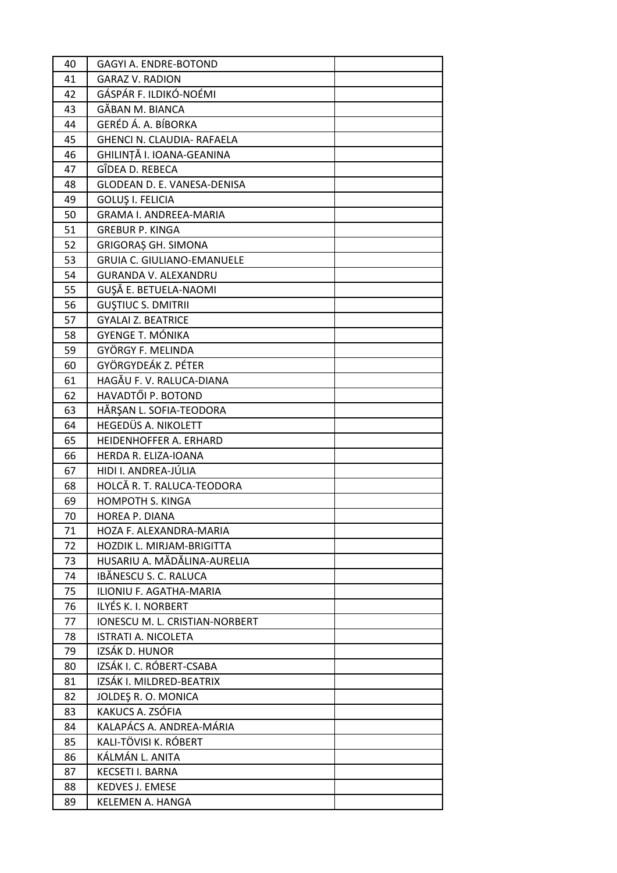| 40       | GAGYI A. ENDRE-BOTOND                                    |  |
|----------|----------------------------------------------------------|--|
| 41       | <b>GARAZ V. RADION</b>                                   |  |
| 42       | GÁSPÁR F. ILDIKÓ-NOÉMI                                   |  |
| 43       | GĂBAN M. BIANCA                                          |  |
| 44       | GERÉD Á. A. BÍBORKA                                      |  |
| 45       | GHENCI N. CLAUDIA- RAFAELA                               |  |
| 46       | GHILINȚĂ I. IOANA-GEANINA                                |  |
| 47       | GÎDEA D. REBECA                                          |  |
| 48       | GLODEAN D. E. VANESA-DENISA                              |  |
| 49       | <b>GOLUŞ I. FELICIA</b>                                  |  |
| 50       | <b>GRAMA I. ANDREEA-MARIA</b>                            |  |
| 51       | <b>GREBUR P. KINGA</b>                                   |  |
| 52       | <b>GRIGORAȘ GH. SIMONA</b>                               |  |
| 53       | <b>GRUIA C. GIULIANO-EMANUELE</b>                        |  |
| 54       | <b>GURANDA V. ALEXANDRU</b>                              |  |
| 55       | GUȘĂ E. BETUELA-NAOMI                                    |  |
| 56       | <b>GUSTIUC S. DMITRII</b>                                |  |
| 57       | <b>GYALAI Z. BEATRICE</b>                                |  |
| 58       | <b>GYENGE T. MÓNIKA</b>                                  |  |
| 59       | GYÖRGY F. MELINDA                                        |  |
| 60       | GYÖRGYDEÁK Z. PÉTER                                      |  |
| 61       | HAGĂU F. V. RALUCA-DIANA                                 |  |
| 62       | HAVADTŐI P. BOTOND                                       |  |
| 63       | HĂRȘAN L. SOFIA-TEODORA                                  |  |
| 64       | HEGEDÜS A. NIKOLETT                                      |  |
| 65       | <b>HEIDENHOFFER A. ERHARD</b>                            |  |
| 66       | HERDA R. ELIZA-IOANA                                     |  |
| 67       | HIDI I. ANDREA-JÚLIA                                     |  |
| 68       | HOLCĂ R. T. RALUCA-TEODORA                               |  |
| 69       | <b>HOMPOTH S. KINGA</b>                                  |  |
| 70       | <b>HOREA P. DIANA</b>                                    |  |
| 71       | HOZA F. ALEXANDRA-MARIA                                  |  |
| 72       | HOZDIK L. MIRJAM-BRIGITTA<br>HUSARIU A. MĂDĂLINA-AURELIA |  |
| 73<br>74 | IBĂNESCU S. C. RALUCA                                    |  |
| 75       | ILIONIU F. AGATHA-MARIA                                  |  |
| 76       | ILYÉS K. I. NORBERT                                      |  |
| 77       | IONESCU M. L. CRISTIAN-NORBERT                           |  |
| 78       | ISTRATI A. NICOLETA                                      |  |
| 79       | IZSÁK D. HUNOR                                           |  |
| 80       | IZSÁK I. C. RÓBERT-CSABA                                 |  |
| 81       | IZSÁK I. MILDRED-BEATRIX                                 |  |
| 82       | JOLDEŞ R. O. MONICA                                      |  |
| 83       | KAKUCS A. ZSÓFIA                                         |  |
| 84       | KALAPÁCS A. ANDREA-MÁRIA                                 |  |
| 85       | KALI-TÖVISI K. RÖBERT                                    |  |
| 86       | KÁLMÁN L. ANITA                                          |  |
| 87       | KECSETI I. BARNA                                         |  |
| 88       | <b>KEDVES J. EMESE</b>                                   |  |
| 89       | KELEMEN A. HANGA                                         |  |
|          |                                                          |  |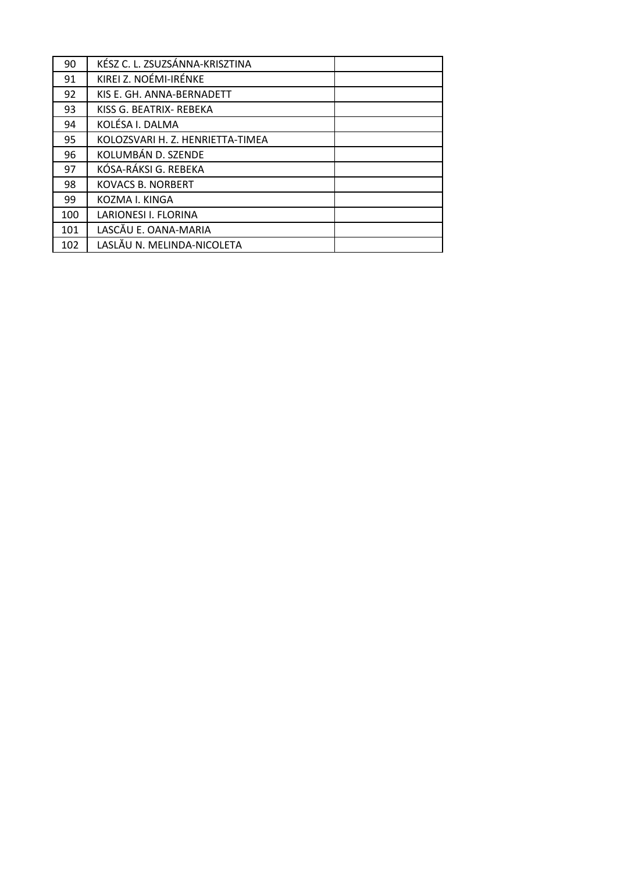| 90  | KÉSZ C. L. ZSUZSÁNNA-KRISZTINA   |
|-----|----------------------------------|
| 91  | KIREI Z. NOÉMI-IRÉNKE            |
| 92  | KIS E. GH. ANNA-BERNADETT        |
| 93  | KISS G. BEATRIX- REBEKA          |
| 94  | KOLÉSA I. DALMA                  |
| 95  | KOLOZSVARI H. Z. HENRIETTA-TIMEA |
| 96  | KOLUMBÁN D. SZENDE               |
| 97  | KÓSA-RÁKSI G. REBEKA             |
| 98  | <b>KOVACS B. NORBERT</b>         |
| 99  | KOZMA I. KINGA                   |
| 100 | LARIONESI I. FLORINA             |
| 101 | LASCĂU E. OANA-MARIA             |
| 102 | LASLĂU N. MELINDA-NICOLETA       |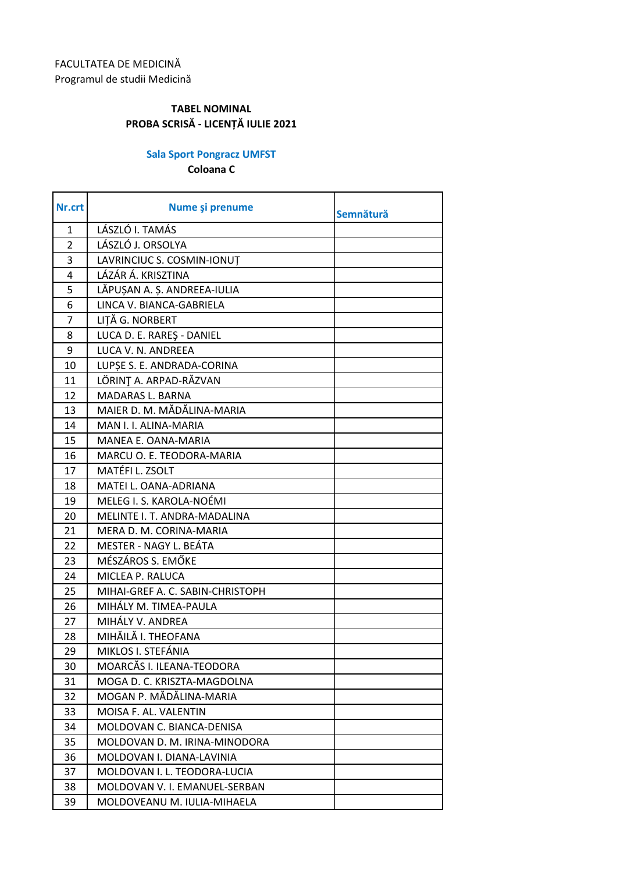## **Sala Sport Pongracz UMFST**

**Coloana C**

| Nr.crt         | Nume și prenume                  | Semnătură |
|----------------|----------------------------------|-----------|
| 1              | LÁSZLÓ I. TAMÁS                  |           |
| $\overline{2}$ | LÁSZLÓ J. ORSOLYA                |           |
| 3              | LAVRINCIUC S. COSMIN-IONUT       |           |
| 4              | LÁZÁR Á. KRISZTINA               |           |
| 5              | LĂPUȘAN A. Ș. ANDREEA-IULIA      |           |
| 6              | LINCA V. BIANCA-GABRIELA         |           |
| $\overline{7}$ | LITĂ G. NORBERT                  |           |
| 8              | LUCA D. E. RAREŞ - DANIEL        |           |
| 9              | LUCA V. N. ANDREEA               |           |
| 10             | LUPȘE S. E. ANDRADA-CORINA       |           |
| 11             | LÖRINT A. ARPAD-RĂZVAN           |           |
| 12             | <b>MADARAS L. BARNA</b>          |           |
| 13             | MAIER D. M. MĂDĂLINA-MARIA       |           |
| 14             | MAN I. I. ALINA-MARIA            |           |
| 15             | MANEA E. OANA-MARIA              |           |
| 16             | MARCU O. E. TEODORA-MARIA        |           |
| 17             | MATÉFI L. ZSOLT                  |           |
| 18             | MATEI L. OANA-ADRIANA            |           |
| 19             | MELEG I. S. KAROLA-NOÉMI         |           |
| 20             | MELINTE I. T. ANDRA-MADALINA     |           |
| 21             | MERA D. M. CORINA-MARIA          |           |
| 22             | MESTER - NAGY L. BEÁTA           |           |
| 23             | MÉSZÁROS S. EMŐKE                |           |
| 24             | MICLEA P. RALUCA                 |           |
| 25             | MIHAI-GREF A. C. SABIN-CHRISTOPH |           |
| 26             | MIHÁLY M. TIMEA-PAULA            |           |
| 27             | MIHÁLY V. ANDREA                 |           |
| 28             | MIHĂILĂ I. THEOFANA              |           |
| 29             | MIKLOS I. STEFÁNIA               |           |
| 30             | MOARCĂS I. ILEANA-TEODORA        |           |
| 31             | MOGA D. C. KRISZTA-MAGDOLNA      |           |
| 32             | MOGAN P. MĂDĂLINA-MARIA          |           |
| 33             | MOISA F. AL. VALENTIN            |           |
| 34             | MOLDOVAN C. BIANCA-DENISA        |           |
| 35             | MOLDOVAN D. M. IRINA-MINODORA    |           |
| 36             | MOLDOVAN I. DIANA-LAVINIA        |           |
| 37             | MOLDOVAN I. L. TEODORA-LUCIA     |           |
| 38             | MOLDOVAN V. I. EMANUEL-SERBAN    |           |
| 39             | MOLDOVEANU M. IULIA-MIHAELA      |           |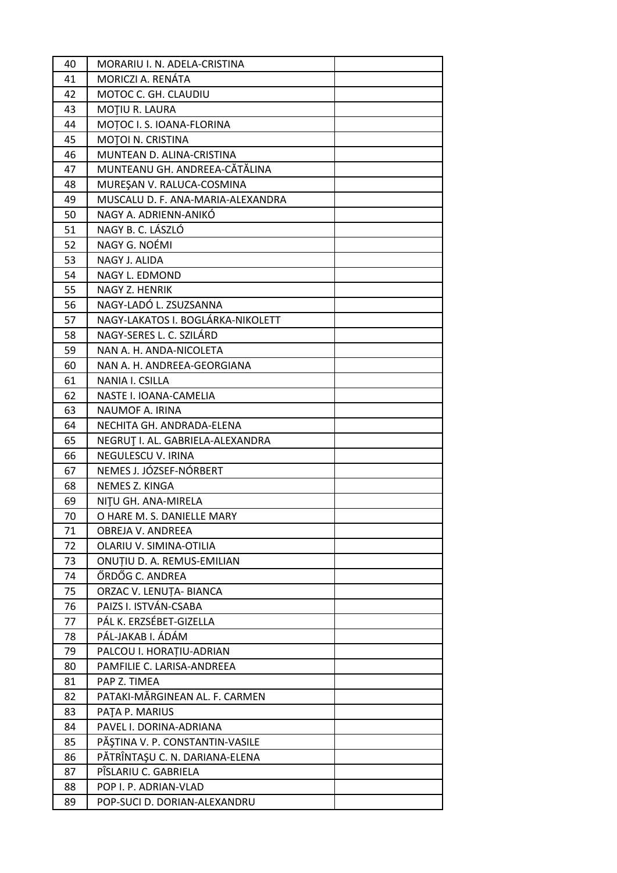| 40 | MORARIU I. N. ADELA-CRISTINA      |  |
|----|-----------------------------------|--|
| 41 | MORICZI A. RENÁTA                 |  |
| 42 | MOTOC C. GH. CLAUDIU              |  |
| 43 | MOTIU R. LAURA                    |  |
| 44 | MOTOC I. S. IOANA-FLORINA         |  |
| 45 | MOTOI N. CRISTINA                 |  |
| 46 | MUNTEAN D. ALINA-CRISTINA         |  |
| 47 | MUNTEANU GH. ANDREEA-CĂTĂLINA     |  |
| 48 | MUREŞAN V. RALUCA-COSMINA         |  |
| 49 | MUSCALU D. F. ANA-MARIA-ALEXANDRA |  |
| 50 | NAGY A. ADRIENN-ANIKO             |  |
| 51 | NAGY B. C. LÁSZLÓ                 |  |
| 52 | NAGY G. NOÉMI                     |  |
| 53 | NAGY J. ALIDA                     |  |
| 54 | NAGY L. EDMOND                    |  |
| 55 | NAGY Z. HENRIK                    |  |
| 56 | NAGY-LADÓ L. ZSUZSANNA            |  |
| 57 | NAGY-LAKATOS I. BOGLÁRKA-NIKOLETT |  |
| 58 | NAGY-SERES L. C. SZILÁRD          |  |
| 59 | NAN A. H. ANDA-NICOLETA           |  |
| 60 | NAN A. H. ANDREEA-GEORGIANA       |  |
| 61 | NANIA I. CSILLA                   |  |
| 62 | NASTE I. IOANA-CAMELIA            |  |
| 63 | NAUMOF A. IRINA                   |  |
| 64 | NECHITA GH. ANDRADA-ELENA         |  |
| 65 | NEGRUT I. AL. GABRIELA-ALEXANDRA  |  |
| 66 | NEGULESCU V. IRINA                |  |
| 67 | NEMES J. JÓZSEF-NÓRBERT           |  |
| 68 | NEMES Z. KINGA                    |  |
| 69 | NITU GH. ANA-MIRELA               |  |
| 70 | O HARE M. S. DANIELLE MARY        |  |
| 71 | OBREJA V. ANDREEA                 |  |
| 72 | OLARIU V. SIMINA-OTILIA           |  |
| 73 | ONUTIU D. A. REMUS-EMILIAN        |  |
| 74 | ŐRDŐG C. ANDREA                   |  |
| 75 | ORZAC V. LENUȚA- BIANCA           |  |
| 76 | PAIZS I. ISTVÁN-CSABA             |  |
| 77 | PÁL K. ERZSÉBET-GIZELLA           |  |
| 78 | PÁL-JAKAB I. ÁDÁM                 |  |
| 79 | PALCOU I. HORATIU-ADRIAN          |  |
| 80 | PAMFILIE C. LARISA-ANDREEA        |  |
| 81 | PAP Z. TIMEA                      |  |
| 82 | PATAKI-MĂRGINEAN AL. F. CARMEN    |  |
| 83 | PATA P. MARIUS                    |  |
| 84 | PAVEL I. DORINA-ADRIANA           |  |
| 85 | PĂȘTINA V. P. CONSTANTIN-VASILE   |  |
| 86 | PĂTRÎNTAȘU C. N. DARIANA-ELENA    |  |
| 87 | PÎSLARIU C. GABRIELA              |  |
| 88 | POP I. P. ADRIAN-VLAD             |  |
| 89 | POP-SUCI D. DORIAN-ALEXANDRU      |  |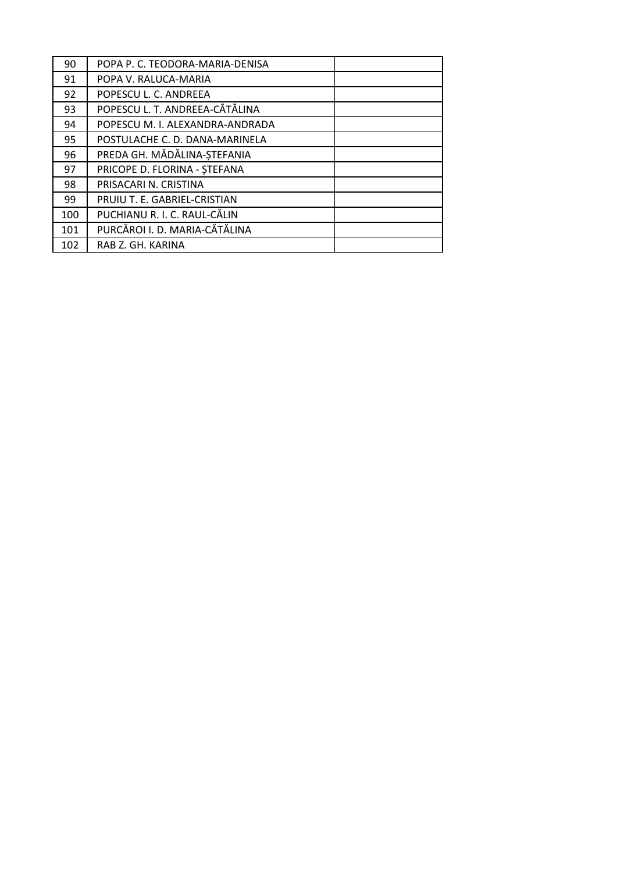| 90  | POPA P. C. TEODORA-MARIA-DENISA |
|-----|---------------------------------|
| 91  | POPA V. RALUCA-MARIA            |
| 92  | POPESCU L. C. ANDREEA           |
| 93  | POPESCU L. T. ANDREEA-CĂTĂLINA  |
| 94  | POPESCU M. I. ALEXANDRA-ANDRADA |
| 95  | POSTULACHE C. D. DANA-MARINELA  |
| 96  | PREDA GH. MĂDĂLINA-ȘTEFANIA     |
| 97  | PRICOPE D. FLORINA - ȘTEFANA    |
| 98  | PRISACARI N. CRISTINA           |
| 99  | PRUIU T. E. GABRIEL-CRISTIAN    |
| 100 | PUCHIANU R. I. C. RAUL-CĂLIN    |
| 101 | PURCĂROI I. D. MARIA-CĂTĂLINA   |
| 102 | RAB Z. GH. KARINA               |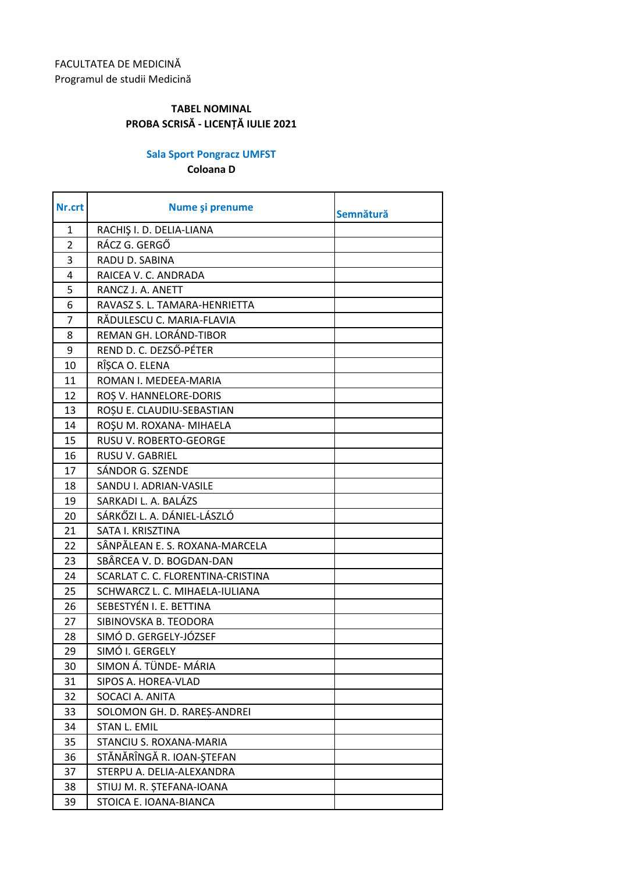## **Sala Sport Pongracz UMFST**

**Coloana D**

| Nr.crt         | Nume și prenume                   | Semnătură |
|----------------|-----------------------------------|-----------|
| 1              | RACHIŞ I. D. DELIA-LIANA          |           |
| $\overline{2}$ | RÁCZ G. GERGŐ                     |           |
| 3              | RADU D. SABINA                    |           |
| 4              | RAICEA V. C. ANDRADA              |           |
| 5              | RANCZ J. A. ANETT                 |           |
| 6              | RAVASZ S. L. TAMARA-HENRIETTA     |           |
| $\overline{7}$ | RĂDULESCU C. MARIA-FLAVIA         |           |
| 8              | REMAN GH. LORÁND-TIBOR            |           |
| 9              | REND D. C. DEZSŐ-PÉTER            |           |
| 10             | RÎȘCA O. ELENA                    |           |
| 11             | ROMAN I. MEDEEA-MARIA             |           |
| 12             | ROS V. HANNELORE-DORIS            |           |
| 13             | ROȘU E. CLAUDIU-SEBASTIAN         |           |
| 14             | ROȘU M. ROXANA- MIHAELA           |           |
| 15             | RUSU V. ROBERTO-GEORGE            |           |
| 16             | <b>RUSU V. GABRIEL</b>            |           |
| 17             | SÁNDOR G. SZENDE                  |           |
| 18             | SANDU I. ADRIAN-VASILE            |           |
| 19             | SARKADI L. A. BALÁZS              |           |
| 20             | SÁRKŐZI L. A. DÁNIEL-LÁSZLÓ       |           |
| 21             | SATA I. KRISZTINA                 |           |
| 22             | SÂNPĂLEAN E. S. ROXANA-MARCELA    |           |
| 23             | SBÂRCEA V. D. BOGDAN-DAN          |           |
| 24             | SCARLAT C. C. FLORENTINA-CRISTINA |           |
| 25             | SCHWARCZ L. C. MIHAELA-IULIANA    |           |
| 26             | SEBESTYÉN I. E. BETTINA           |           |
| 27             | SIBINOVSKA B. TEODORA             |           |
| 28             | SIMÓ D. GERGELY-JÓZSEF            |           |
| 29             | SIMÓ I. GERGELY                   |           |
| 30             | SIMON Á. TÜNDE- MÁRIA             |           |
| 31             | SIPOS A. HOREA-VLAD               |           |
| 32             | SOCACI A. ANITA                   |           |
| 33             | SOLOMON GH. D. RAREȘ-ANDREI       |           |
| 34             | STAN L. EMIL                      |           |
| 35             | STANCIU S. ROXANA-MARIA           |           |
| 36             | STĂNĂRÎNGĂ R. IOAN-ȘTEFAN         |           |
| 37             | STERPU A. DELIA-ALEXANDRA         |           |
| 38             | STIUJ M. R. ȘTEFANA-IOANA         |           |
| 39             | STOICA E. IOANA-BIANCA            |           |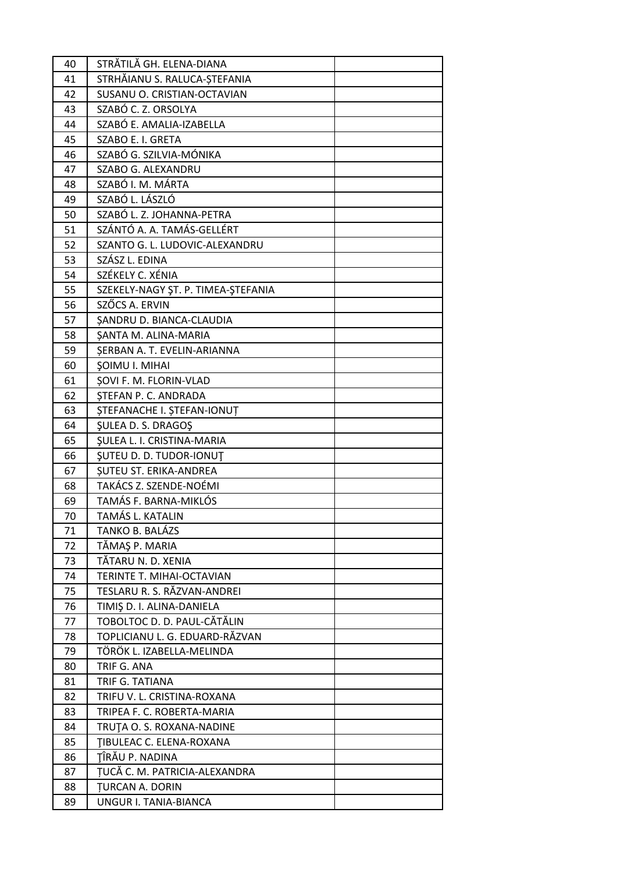| 40 | STRĂTILĂ GH. ELENA-DIANA           |  |
|----|------------------------------------|--|
| 41 | STRHĂIANU S. RALUCA-ȘTEFANIA       |  |
| 42 | SUSANU O. CRISTIAN-OCTAVIAN        |  |
| 43 | SZABÓ C. Z. ORSOLYA                |  |
| 44 | SZABÓ E. AMALIA-IZABELLA           |  |
| 45 | SZABO E. I. GRETA                  |  |
| 46 | SZABÓ G. SZILVIA-MÓNIKA            |  |
| 47 | SZABO G. ALEXANDRU                 |  |
| 48 | SZABÓ I. M. MÁRTA                  |  |
| 49 | SZABÓ L. LÁSZLÓ                    |  |
| 50 | SZABÓ L. Z. JOHANNA-PETRA          |  |
| 51 | SZÁNTÓ A. A. TAMÁS-GELLÉRT         |  |
| 52 | SZANTO G. L. LUDOVIC-ALEXANDRU     |  |
| 53 | SZÁSZ L. EDINA                     |  |
| 54 | SZÉKELY C. XÉNIA                   |  |
| 55 | SZEKELY-NAGY ŞT. P. TIMEA-ŞTEFANIA |  |
| 56 | SZŐCS A. ERVIN                     |  |
| 57 | SANDRU D. BIANCA-CLAUDIA           |  |
| 58 | ŞANTA M. ALINA-MARIA               |  |
| 59 | SERBAN A. T. EVELIN-ARIANNA        |  |
| 60 | <b>ŞOIMU I. MIHAI</b>              |  |
| 61 | SOVI F. M. FLORIN-VLAD             |  |
| 62 | STEFAN P. C. ANDRADA               |  |
| 63 | <b>ȘTEFANACHE I. ȘTEFAN-IONUT</b>  |  |
| 64 | <b>ŞULEA D. S. DRAGOŞ</b>          |  |
| 65 | <b>ŞULEA L. I. CRISTINA-MARIA</b>  |  |
| 66 | <b>SUTEU D. D. TUDOR-IONUT</b>     |  |
| 67 | SUTEU ST. ERIKA-ANDREA             |  |
| 68 | TAKÁCS Z. SZENDE-NOÉMI             |  |
| 69 | TAMÁS F. BARNA-MIKLÓS              |  |
| 70 | <b>TAMÁS L. KATALIN</b>            |  |
| 71 | TANKO B. BALÁZS                    |  |
| 72 | TĂMAȘ P. MARIA                     |  |
| 73 | TĂTARU N. D. XENIA                 |  |
| 74 | TERINTE T. MIHAI-OCTAVIAN          |  |
| 75 | TESLARU R. S. RĂZVAN-ANDREI        |  |
| 76 | TIMIȘ D. I. ALINA-DANIELA          |  |
| 77 | TOBOLTOC D. D. PAUL-CĂTĂLIN        |  |
| 78 | TOPLICIANU L. G. EDUARD-RĂZVAN     |  |
| 79 | TÖRÖK L. IZABELLA-MELINDA          |  |
| 80 | TRIF G. ANA                        |  |
| 81 | TRIF G. TATIANA                    |  |
| 82 | TRIFU V. L. CRISTINA-ROXANA        |  |
| 83 | TRIPEA F. C. ROBERTA-MARIA         |  |
| 84 | TRUȚA O. S. ROXANA-NADINE          |  |
| 85 | TIBULEAC C. ELENA-ROXANA           |  |
| 86 | TÎRĂU P. NADINA                    |  |
| 87 | TUCĂ C. M. PATRICIA-ALEXANDRA      |  |
| 88 | <b>TURCAN A. DORIN</b>             |  |
| 89 | UNGUR I. TANIA-BIANCA              |  |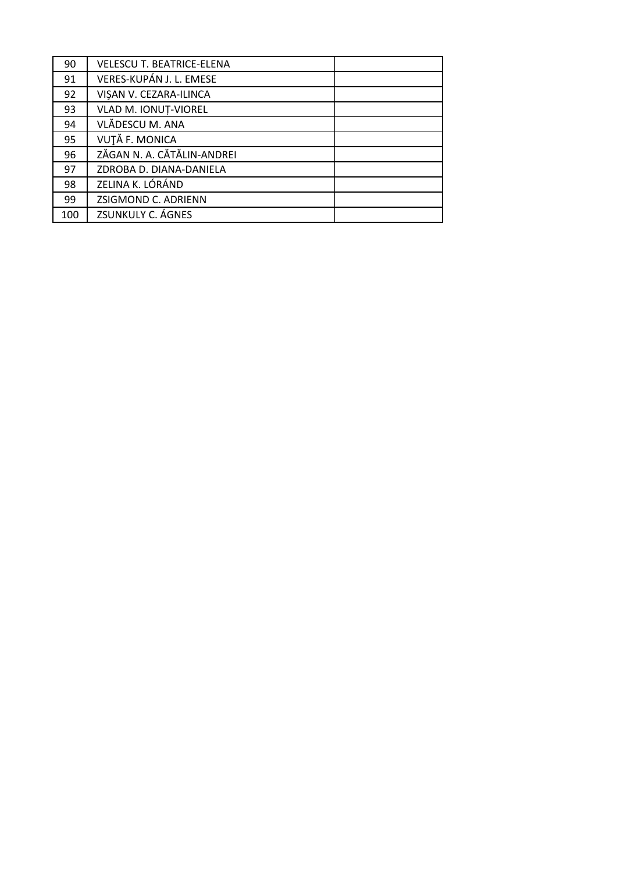| 90  | <b>VELESCU T. BEATRICE-ELENA</b> |  |
|-----|----------------------------------|--|
| 91  | VERES-KUPÁN J. L. EMESE          |  |
| 92  | VIŞAN V. CEZARA-ILINCA           |  |
| 93  | VLAD M. IONUȚ-VIOREL             |  |
| 94  | VLĂDESCU M. ANA                  |  |
| 95  | VUȚĂ F. MONICA                   |  |
| 96  | ZĂGAN N. A. CĂTĂLIN-ANDREI       |  |
| 97  | ZDROBA D. DIANA-DANIELA          |  |
| 98  | ZELINA K. LÓRÁND                 |  |
| 99  | ZSIGMOND C. ADRIENN              |  |
| 100 | ZSUNKULY C. ÁGNES                |  |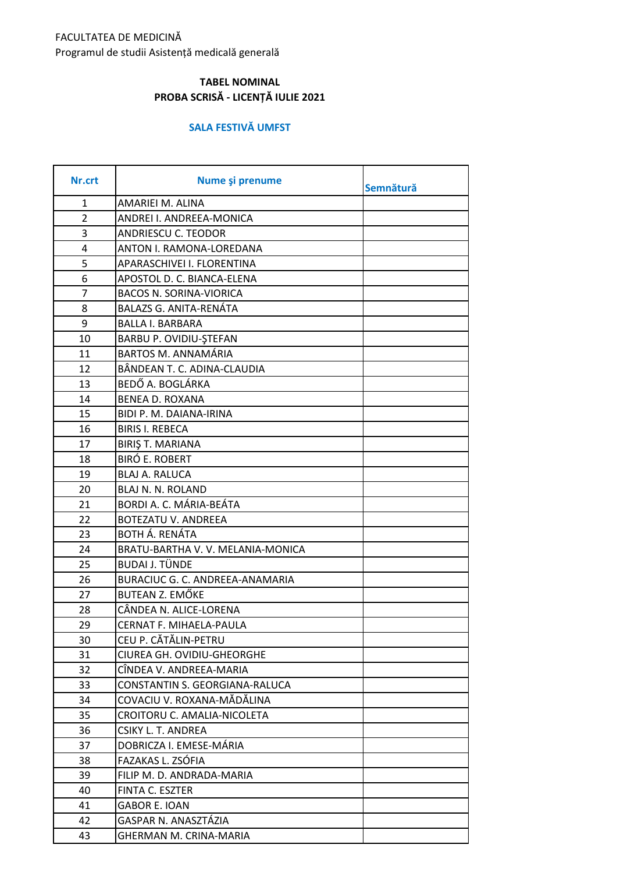## FACULTATEA DE MEDICINĂ Programul de studii Asistență medicală generală

## **TABEL NOMINAL PROBA SCRISĂ - LICENȚĂ IULIE 2021**

#### **SALA FESTIVĂ UMFST**

| Nr.crt         | Nume și prenume                  | Semnătură |
|----------------|----------------------------------|-----------|
| 1              | AMARIEI M. ALINA                 |           |
| $\overline{2}$ | ANDREI I. ANDREEA-MONICA         |           |
| 3              | <b>ANDRIESCU C. TEODOR</b>       |           |
| 4              | ANTON I. RAMONA-LOREDANA         |           |
| 5              | APARASCHIVEI I. FLORENTINA       |           |
| 6              | APOSTOL D. C. BIANCA-ELENA       |           |
| $\overline{7}$ | <b>BACOS N. SORINA-VIORICA</b>   |           |
| 8              | <b>BALAZS G. ANITA-RENÁTA</b>    |           |
| 9              | <b>BALLA I. BARBARA</b>          |           |
| 10             | BARBU P. OVIDIU-ŞTEFAN           |           |
| 11             | <b>BARTOS M. ANNAMÁRIA</b>       |           |
| 12             | BÂNDEAN T. C. ADINA-CLAUDIA      |           |
| 13             | BEDŐ A. BOGLÁRKA                 |           |
| 14             | <b>BENEA D. ROXANA</b>           |           |
| 15             | BIDI P. M. DAIANA-IRINA          |           |
| 16             | <b>BIRIS I. REBECA</b>           |           |
| 17             | <b>BIRIŞ T. MARIANA</b>          |           |
| 18             | <b>BIRÓ E. ROBERT</b>            |           |
| 19             | <b>BLAJ A. RALUCA</b>            |           |
| 20             | BLAJ N. N. ROLAND                |           |
| 21             | BORDI A. C. MÁRIA-BEÁTA          |           |
| 22             | <b>BOTEZATU V. ANDREEA</b>       |           |
| 23             | BOTH Á. RENÁTA                   |           |
| 24             | BRATU-BARTHA V.V. MELANIA-MONICA |           |
| 25             | <b>BUDAI J. TÜNDE</b>            |           |
| 26             | BURACIUC G. C. ANDREEA-ANAMARIA  |           |
| 27             | BUTEAN Z. EMŐKE                  |           |
| 28             | CÂNDEA N. ALICE-LORENA           |           |
| 29             | CERNAT F. MIHAELA-PAULA          |           |
| 30             | CEU P. CĂTĂLIN-PETRU             |           |
| 31             | CIUREA GH. OVIDIU-GHEORGHE       |           |
| 32             | CÎNDEA V. ANDREEA-MARIA          |           |
| 33             | CONSTANTIN S. GEORGIANA-RALUCA   |           |
| 34             | COVACIU V. ROXANA-MĂDĂLINA       |           |
| 35             | CROITORU C. AMALIA-NICOLETA      |           |
| 36             | <b>CSIKY L. T. ANDREA</b>        |           |
| 37             | DOBRICZA I. EMESE-MÁRIA          |           |
| 38             | FAZAKAS L. ZSÓFIA                |           |
| 39             | FILIP M. D. ANDRADA-MARIA        |           |
| 40             | FINTA C. ESZTER                  |           |
| 41             | <b>GABOR E. IOAN</b>             |           |
| 42             | GASPAR N. ANASZTÁZIA             |           |
| 43             | GHERMAN M. CRINA-MARIA           |           |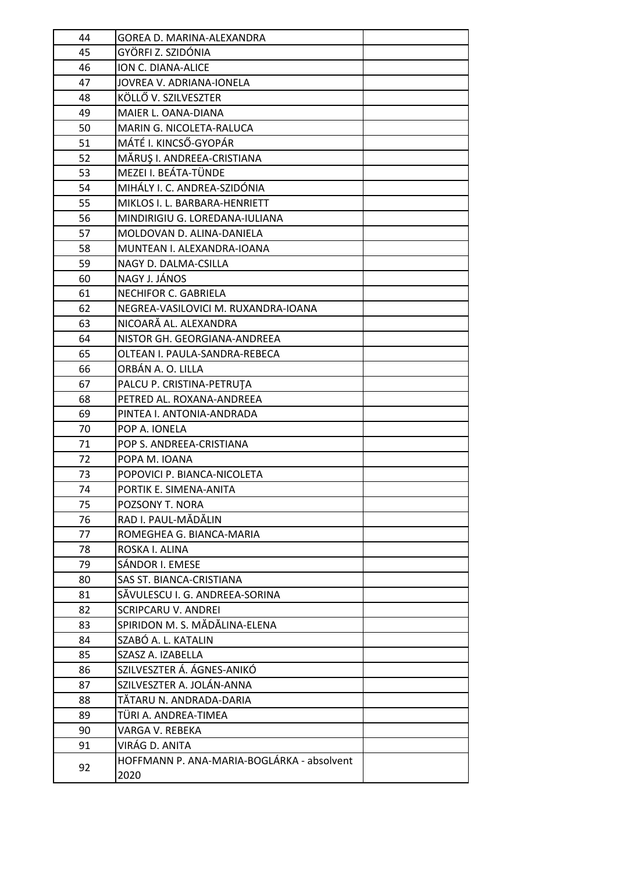| 44 | GOREA D. MARINA-ALEXANDRA                  |  |
|----|--------------------------------------------|--|
| 45 | GYÖRFI Z. SZIDÓNIA                         |  |
| 46 | ION C. DIANA-ALICE                         |  |
| 47 | JOVREA V. ADRIANA-IONELA                   |  |
| 48 | KÖLLŐ V. SZILVESZTER                       |  |
| 49 | MAIER L. OANA-DIANA                        |  |
| 50 | MARIN G. NICOLETA-RALUCA                   |  |
| 51 | MÁTÉ I. KINCSŐ-GYOPÁR                      |  |
| 52 | MĂRUȘ I. ANDREEA-CRISTIANA                 |  |
| 53 | MEZEI I. BEÁTA-TÜNDE                       |  |
| 54 | MIHÁLY I. C. ANDREA-SZIDÓNIA               |  |
| 55 | MIKLOS I. L. BARBARA-HENRIETT              |  |
| 56 | MINDIRIGIU G. LOREDANA-IULIANA             |  |
| 57 | MOLDOVAN D. ALINA-DANIELA                  |  |
| 58 | MUNTEAN I. ALEXANDRA-IOANA                 |  |
| 59 | NAGY D. DALMA-CSILLA                       |  |
| 60 | NAGY J. JÁNOS                              |  |
| 61 | NECHIFOR C. GABRIELA                       |  |
| 62 | NEGREA-VASILOVICI M. RUXANDRA-IOANA        |  |
| 63 | NICOARĂ AL. ALEXANDRA                      |  |
| 64 | NISTOR GH. GEORGIANA-ANDREEA               |  |
| 65 | OLTEAN I. PAULA-SANDRA-REBECA              |  |
| 66 | ORBÁN A. O. LILLA                          |  |
| 67 | PALCU P. CRISTINA-PETRUTA                  |  |
| 68 | PETRED AL. ROXANA-ANDREEA                  |  |
| 69 | PINTEA I. ANTONIA-ANDRADA                  |  |
| 70 | POP A. IONELA                              |  |
| 71 | POP S. ANDREEA-CRISTIANA                   |  |
| 72 | POPA M. IOANA                              |  |
| 73 | POPOVICI P. BIANCA-NICOLETA                |  |
| 74 | PORTIK E. SIMENA-ANITA                     |  |
| 75 | POZSONY T. NORA                            |  |
| 76 | RAD I. PAUL-MĂDĂLIN                        |  |
| 77 | ROMEGHEA G. BIANCA-MARIA                   |  |
| 78 | ROSKA I. ALINA                             |  |
| 79 | SÁNDOR I. EMESE                            |  |
| 80 | SAS ST. BIANCA-CRISTIANA                   |  |
| 81 | SĂVULESCU I. G. ANDREEA-SORINA             |  |
| 82 | <b>SCRIPCARU V. ANDREI</b>                 |  |
| 83 | SPIRIDON M. S. MĂDĂLINA-ELENA              |  |
| 84 | SZABÓ A. L. KATALIN                        |  |
| 85 | SZASZ A. IZABELLA                          |  |
| 86 | SZILVESZTER Á. ÁGNES-ANIKÓ                 |  |
| 87 | SZILVESZTER A. JOLÁN-ANNA                  |  |
| 88 | TĂTARU N. ANDRADA-DARIA                    |  |
| 89 | TÜRI A. ANDREA-TIMEA                       |  |
| 90 | VARGA V. REBEKA                            |  |
| 91 | VIRÁG D. ANITA                             |  |
| 92 | HOFFMANN P. ANA-MARIA-BOGLÁRKA - absolvent |  |
|    | 2020                                       |  |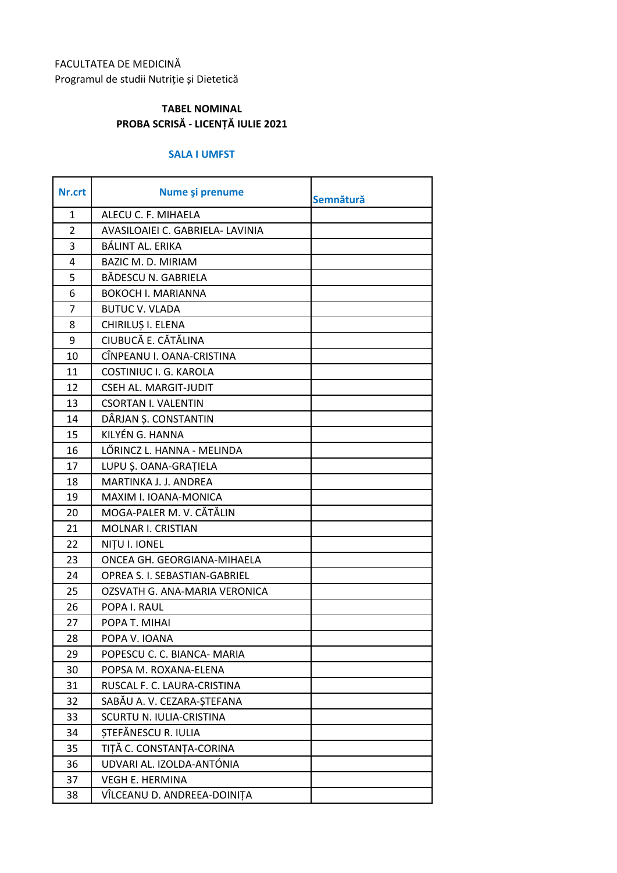# FACULTATEA DE MEDICINĂ Programul de studii Nutriție și Dietetică

## **TABEL NOMINAL PROBA SCRISĂ - LICENȚĂ IULIE 2021**

#### **SALA I UMFST**

| Nr.crt         | Nume și prenume                  | Semnătură |
|----------------|----------------------------------|-----------|
| 1              | ALECU C. F. MIHAELA              |           |
| $\overline{2}$ | AVASILOAIEI C. GABRIELA- LAVINIA |           |
| 3              | BÁLINT AL. ERIKA                 |           |
| $\overline{4}$ | <b>BAZIC M. D. MIRIAM</b>        |           |
| 5              | BĂDESCU N. GABRIELA              |           |
| 6              | <b>BOKOCH I. MARIANNA</b>        |           |
| $\overline{7}$ | <b>BUTUC V. VLADA</b>            |           |
| 8              | CHIRILUȘ I. ELENA                |           |
| 9              | CIUBUCĂ E. CĂTĂLINA              |           |
| 10             | CÎNPEANU I. OANA-CRISTINA        |           |
| 11             | COSTINIUC I. G. KAROLA           |           |
| 12             | <b>CSEH AL. MARGIT-JUDIT</b>     |           |
| 13             | <b>CSORTAN I. VALENTIN</b>       |           |
| 14             | DÂRJAN Ș. CONSTANTIN             |           |
| 15             | KILYÉN G. HANNA                  |           |
| 16             | LŐRINCZ L. HANNA - MELINDA       |           |
| 17             | LUPU Ș. OANA-GRAȚIELA            |           |
| 18             | MARTINKA J. J. ANDREA            |           |
| 19             | MAXIM I. IOANA-MONICA            |           |
| 20             | MOGA-PALER M. V. CĂTĂLIN         |           |
| 21             | MOLNAR I. CRISTIAN               |           |
| 22             | NITU I. IONEL                    |           |
| 23             | ONCEA GH. GEORGIANA-MIHAELA      |           |
| 24             | OPREA S. I. SEBASTIAN-GABRIEL    |           |
| 25             | OZSVATH G. ANA-MARIA VERONICA    |           |
| 26             | POPA I. RAUL                     |           |
| 27             | POPA T. MIHAI                    |           |
| 28             | POPA V. IOANA                    |           |
| 29             | POPESCU C. C. BIANCA- MARIA      |           |
| 30             | POPSA M. ROXANA-ELENA            |           |
| 31             | RUSCAL F. C. LAURA-CRISTINA      |           |
| 32             | SABĂU A. V. CEZARA-STEFANA       |           |
| 33             | SCURTU N. IULIA-CRISTINA         |           |
| 34             | STEFĂNESCU R. IULIA              |           |
| 35             | TIȚĂ C. CONSTANȚA-CORINA         |           |
| 36             | UDVARI AL. IZOLDA-ANTÓNIA        |           |
| 37             | <b>VEGH E. HERMINA</b>           |           |
| 38             | VÎLCEANU D. ANDREEA-DOINIȚA      |           |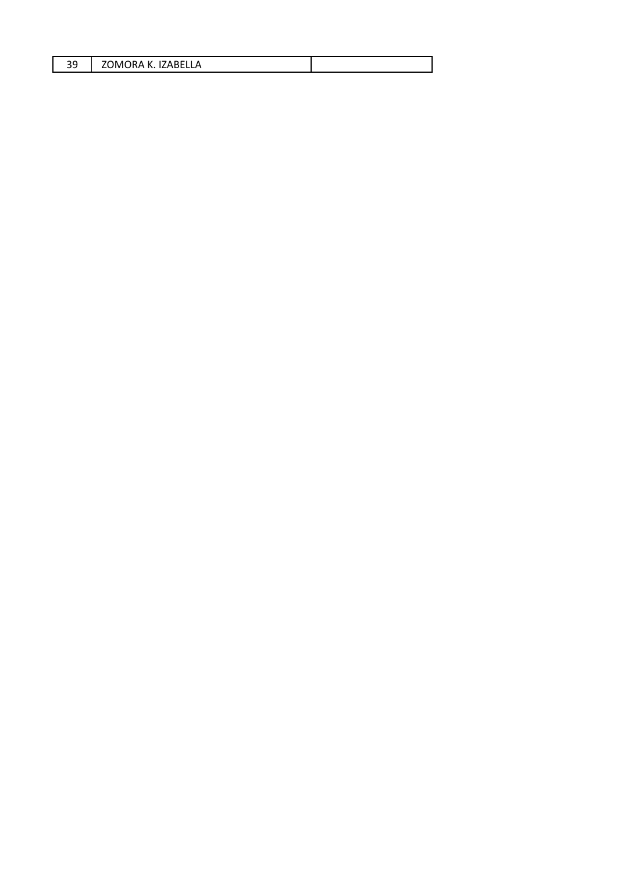| $\sim$<br>7 <sub>f</sub><br>IΑ<br>эn<br>vit i R<br>K<br>$\mathbf{v}$<br>$\cdot$<br>. .<br>⊣n Fi<br>-- |  |
|-------------------------------------------------------------------------------------------------------|--|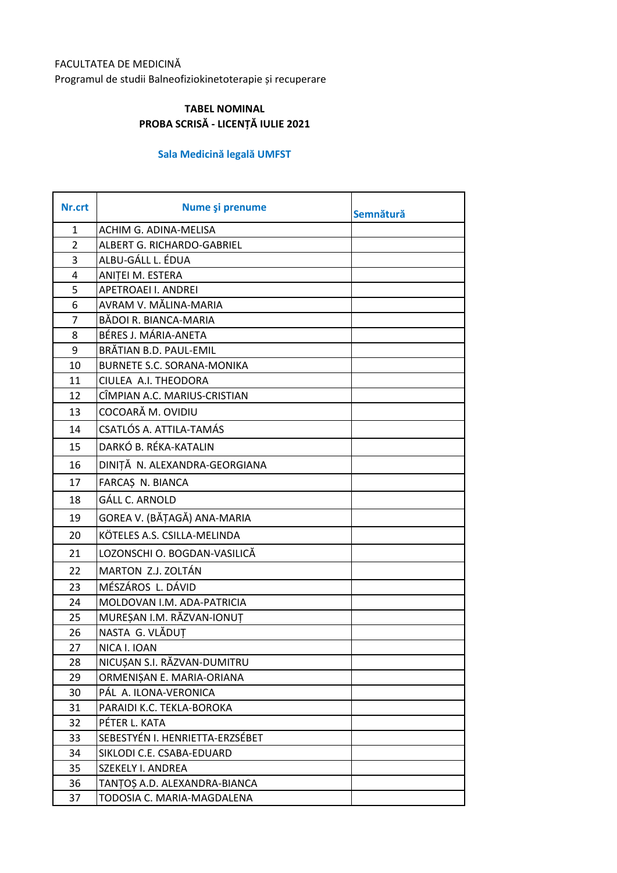#### FACULTATEA DE MEDICINĂ

Programul de studii Balneofiziokinetoterapie și recuperare

#### **TABEL NOMINAL PROBA SCRISĂ - LICENȚĂ IULIE 2021**

## **Sala Medicină legală UMFST**

| Nr.crt         | Nume și prenume                   | Semnătură |
|----------------|-----------------------------------|-----------|
| 1              | ACHIM G. ADINA-MELISA             |           |
| $\overline{2}$ | ALBERT G. RICHARDO-GABRIEL        |           |
| 3              | ALBU-GÁLL L. ÉDUA                 |           |
| 4              | ANITEI M. ESTERA                  |           |
| 5              | APETROAEI I. ANDREI               |           |
| 6              | AVRAM V. MĂLINA-MARIA             |           |
| $\overline{7}$ | BĂDOI R. BIANCA-MARIA             |           |
| 8              | BÉRES J. MÁRIA-ANETA              |           |
| 9              | BRĂTIAN B.D. PAUL-EMIL            |           |
| 10             | <b>BURNETE S.C. SORANA-MONIKA</b> |           |
| 11             | CIULEA A.I. THEODORA              |           |
| 12             | CÎMPIAN A.C. MARIUS-CRISTIAN      |           |
| 13             | COCOARĂ M. OVIDIU                 |           |
| 14             | CSATLÓS A. ATTILA-TAMÁS           |           |
| 15             | DARKÓ B. RÉKA-KATALIN             |           |
| 16             | DINIȚĂ N. ALEXANDRA-GEORGIANA     |           |
| 17             | FARCAS N. BIANCA                  |           |
| 18             | <b>GÁLL C. ARNOLD</b>             |           |
| 19             | GOREA V. (BĂȚAGĂ) ANA-MARIA       |           |
| 20             | KÖTELES A.S. CSILLA-MELINDA       |           |
| 21             | LOZONSCHI O. BOGDAN-VASILICĂ      |           |
| 22             | MARTON Z.J. ZOLTÁN                |           |
| 23             | MÉSZÁROS L. DÁVID                 |           |
| 24             | MOLDOVAN I.M. ADA-PATRICIA        |           |
| 25             | MUREȘAN I.M. RĂZVAN-IONUȚ         |           |
| 26             | NASTA G. VLĂDUȚ                   |           |
| 27             | NICA I. IOAN                      |           |
| 28             | NICUȘAN S.I. RĂZVAN-DUMITRU       |           |
| 29             | ORMENIȘAN E. MARIA-ORIANA         |           |
| 30             | PÁL A. ILONA-VERONICA             |           |
| 31             | PARAIDI K.C. TEKLA-BOROKA         |           |
| 32             | PÉTER L. KATA                     |           |
| 33             | SEBESTYÉN I. HENRIETTA-ERZSÉBET   |           |
| 34             | SIKLODI C.E. CSABA-EDUARD         |           |
| 35             | SZEKELY I. ANDREA                 |           |
| 36             | TANȚOȘ A.D. ALEXANDRA-BIANCA      |           |
| 37             | TODOSIA C. MARIA-MAGDALENA        |           |